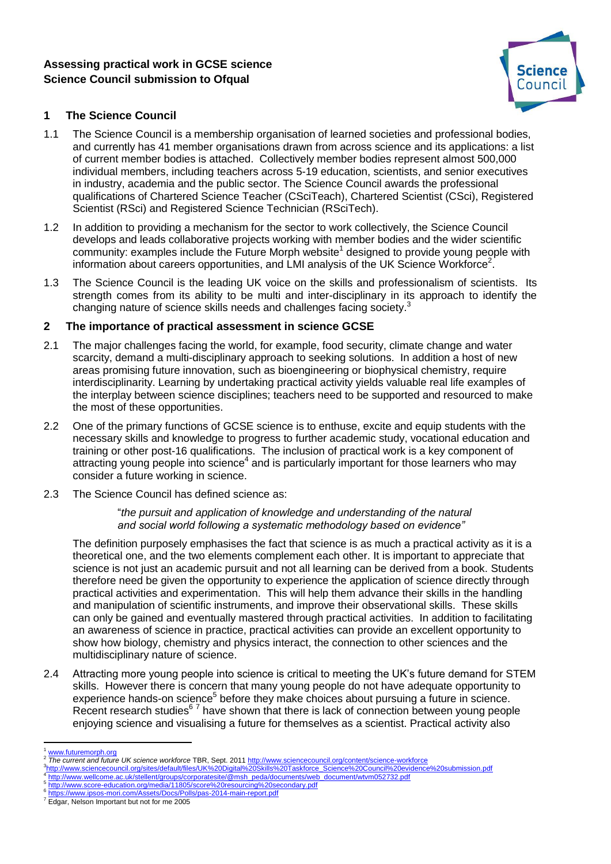# **Assessing practical work in GCSE science Science Council submission to Ofqual**



# **1 The Science Council**

- 1.1 The Science Council is a membership organisation of learned societies and professional bodies, and currently has 41 member organisations drawn from across science and its applications: a list of current member bodies is attached. Collectively member bodies represent almost 500,000 individual members, including teachers across 5-19 education, scientists, and senior executives in industry, academia and the public sector. The Science Council awards the professional qualifications of Chartered Science Teacher (CSciTeach), Chartered Scientist (CSci), Registered Scientist (RSci) and Registered Science Technician (RSciTech).
- 1.2 In addition to providing a mechanism for the sector to work collectively, the Science Council develops and leads collaborative projects working with member bodies and the wider scientific community: examples include the Future Morph website<sup>1</sup> designed to provide young people with information about careers opportunities, and LMI analysis of the UK Science Workforce<sup>2</sup>.
- 1.3 The Science Council is the leading UK voice on the skills and professionalism of scientists. Its strength comes from its ability to be multi and inter-disciplinary in its approach to identify the changing nature of science skills needs and challenges facing society.<sup>3</sup>

## **2 The importance of practical assessment in science GCSE**

- 2.1 The major challenges facing the world, for example, food security, climate change and water scarcity, demand a multi-disciplinary approach to seeking solutions. In addition a host of new areas promising future innovation, such as bioengineering or biophysical chemistry, require interdisciplinarity. Learning by undertaking practical activity yields valuable real life examples of the interplay between science disciplines; teachers need to be supported and resourced to make the most of these opportunities.
- 2.2 One of the primary functions of GCSE science is to enthuse, excite and equip students with the necessary skills and knowledge to progress to further academic study, vocational education and training or other post-16 qualifications. The inclusion of practical work is a key component of attracting young people into science<sup>4</sup> and is particularly important for those learners who may consider a future working in science.
- 2.3 The Science Council has defined science as:

### "*the pursuit and application of knowledge and understanding of the natural and social world following a systematic methodology based on evidence"*

The definition purposely emphasises the fact that science is as much a practical activity as it is a theoretical one, and the two elements complement each other. It is important to appreciate that science is not just an academic pursuit and not all learning can be derived from a book. Students therefore need be given the opportunity to experience the application of science directly through practical activities and experimentation. This will help them advance their skills in the handling and manipulation of scientific instruments, and improve their observational skills. These skills can only be gained and eventually mastered through practical activities. In addition to facilitating an awareness of science in practice, practical activities can provide an excellent opportunity to show how biology, chemistry and physics interact, the connection to other sciences and the multidisciplinary nature of science.

2.4 Attracting more young people into science is critical to meeting the UK's future demand for STEM skills. However there is concern that many young people do not have adequate opportunity to experience hands-on science<sup>5</sup> before they make choices about pursuing a future in science. Recent research studies<sup>67</sup> have shown that there is lack of connection between young people enjoying science and visualising a future for themselves as a scientist. Practical activity also

 $\overline{a}$ [www.futuremorph.org](http://www.futuremorph.org/) 2

*The current and future UK science workforce* TBR, Sept. 201[1 http://www.sciencecouncil.org/content/science-workforce](http://www.sciencecouncil.org/content/science-workforce) 3<br>[http://www.sciencecouncil.org/sites/default/files/UK%20Digital%20Skills%20Taskforce\\_Science%20Council%20evidence%20submission.pdf](http://www.sciencecouncil.org/sites/default/files/UK%20Digital%20Skills%20Taskforce_Science%20Council%20evidence%20submission.pdf)<br>1 http://www.svelleeme.go.uk/etallept/groups/espectforite/@mpb\_pede/documente/ueb\_document

[http://www.wellcome.ac.uk/stellent/groups/corporatesite/@msh\\_peda/documents/web\\_document/wtvm052732.pdf](http://www.wellcome.ac.uk/stellent/groups/corporatesite/@msh_peda/documents/web_document/wtvm052732.pdf)

<sup>5</sup> <http://www.score-education.org/media/11805/score%20resourcing%20secondary.pdf><br><sup>6</sup> http://www.jppes.gorg.com/Assets/Dees/Rella/pes\_2014.goja.coper.pdf

<https://www.ipsos-mori.com/Assets/Docs/Polls/pas-2014-main-report.pdf>

<sup>&</sup>lt;sup>7</sup> Edgar, Nelson Important but not for me 2005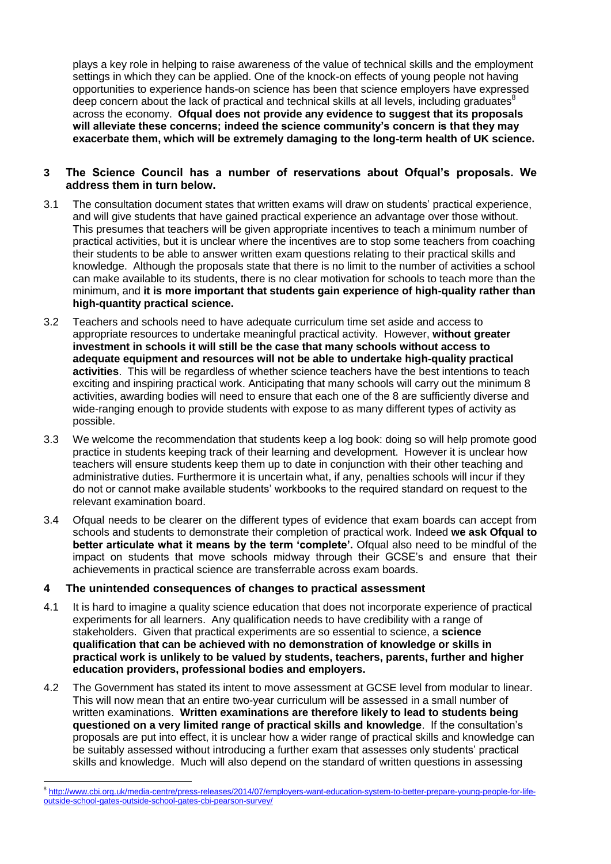plays a key role in helping to raise awareness of the value of technical skills and the employment settings in which they can be applied. One of the knock-on effects of young people not having opportunities to experience hands-on science has been that science employers have expressed deep concern about the lack of practical and technical skills at all levels, including graduates $8$ across the economy. **Ofqual does not provide any evidence to suggest that its proposals will alleviate these concerns; indeed the science community's concern is that they may exacerbate them, which will be extremely damaging to the long-term health of UK science.**

## **3 The Science Council has a number of reservations about Ofqual's proposals. We address them in turn below.**

- 3.1 The consultation document states that written exams will draw on students' practical experience, and will give students that have gained practical experience an advantage over those without. This presumes that teachers will be given appropriate incentives to teach a minimum number of practical activities, but it is unclear where the incentives are to stop some teachers from coaching their students to be able to answer written exam questions relating to their practical skills and knowledge. Although the proposals state that there is no limit to the number of activities a school can make available to its students, there is no clear motivation for schools to teach more than the minimum, and **it is more important that students gain experience of high-quality rather than high-quantity practical science.**
- 3.2 Teachers and schools need to have adequate curriculum time set aside and access to appropriate resources to undertake meaningful practical activity. However, **without greater investment in schools it will still be the case that many schools without access to adequate equipment and resources will not be able to undertake high-quality practical activities**. This will be regardless of whether science teachers have the best intentions to teach exciting and inspiring practical work. Anticipating that many schools will carry out the minimum 8 activities, awarding bodies will need to ensure that each one of the 8 are sufficiently diverse and wide-ranging enough to provide students with expose to as many different types of activity as possible.
- 3.3 We welcome the recommendation that students keep a log book: doing so will help promote good practice in students keeping track of their learning and development. However it is unclear how teachers will ensure students keep them up to date in conjunction with their other teaching and administrative duties. Furthermore it is uncertain what, if any, penalties schools will incur if they do not or cannot make available students' workbooks to the required standard on request to the relevant examination board.
- 3.4 Ofqual needs to be clearer on the different types of evidence that exam boards can accept from schools and students to demonstrate their completion of practical work. Indeed **we ask Ofqual to better articulate what it means by the term 'complete'.** Ofqual also need to be mindful of the impact on students that move schools midway through their GCSE's and ensure that their achievements in practical science are transferrable across exam boards.

## **4 The unintended consequences of changes to practical assessment**

- 4.1 It is hard to imagine a quality science education that does not incorporate experience of practical experiments for all learners. Any qualification needs to have credibility with a range of stakeholders.Given that practical experiments are so essential to science, a **science qualification that can be achieved with no demonstration of knowledge or skills in practical work is unlikely to be valued by students, teachers, parents, further and higher education providers, professional bodies and employers.**
- 4.2 The Government has stated its intent to move assessment at GCSE level from modular to linear. This will now mean that an entire two-year curriculum will be assessed in a small number of written examinations. **Written examinations are therefore likely to lead to students being questioned on a very limited range of practical skills and knowledge**. If the consultation's proposals are put into effect, it is unclear how a wider range of practical skills and knowledge can be suitably assessed without introducing a further exam that assesses only students' practical skills and knowledge. Much will also depend on the standard of written questions in assessing

 $\overline{a}$ <sup>8</sup> [http://www.cbi.org.uk/media-centre/press-releases/2014/07/employers-want-education-system-to-better-prepare-young-people-for-life](http://www.cbi.org.uk/media-centre/press-releases/2014/07/employers-want-education-system-to-better-prepare-young-people-for-life-outside-school-gates-outside-school-gates-cbi-pearson-survey/)[outside-school-gates-outside-school-gates-cbi-pearson-survey/](http://www.cbi.org.uk/media-centre/press-releases/2014/07/employers-want-education-system-to-better-prepare-young-people-for-life-outside-school-gates-outside-school-gates-cbi-pearson-survey/)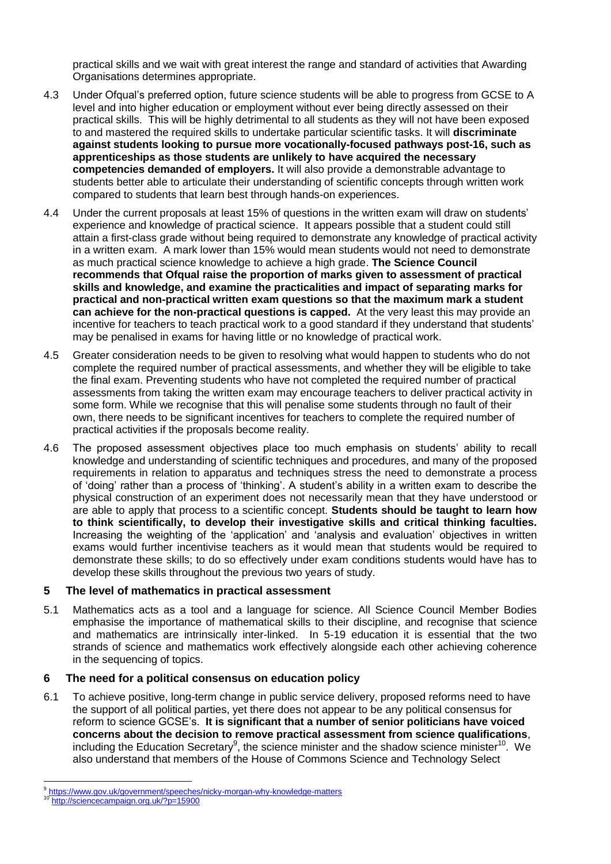practical skills and we wait with great interest the range and standard of activities that Awarding Organisations determines appropriate.

- 4.3 Under Ofqual's preferred option, future science students will be able to progress from GCSE to A level and into higher education or employment without ever being directly assessed on their practical skills. This will be highly detrimental to all students as they will not have been exposed to and mastered the required skills to undertake particular scientific tasks. It will **discriminate against students looking to pursue more vocationally-focused pathways post-16, such as apprenticeships as those students are unlikely to have acquired the necessary competencies demanded of employers.** It will also provide a demonstrable advantage to students better able to articulate their understanding of scientific concepts through written work compared to students that learn best through hands-on experiences.
- 4.4 Under the current proposals at least 15% of questions in the written exam will draw on students' experience and knowledge of practical science. It appears possible that a student could still attain a first-class grade without being required to demonstrate any knowledge of practical activity in a written exam. A mark lower than 15% would mean students would not need to demonstrate as much practical science knowledge to achieve a high grade. **The Science Council recommends that Ofqual raise the proportion of marks given to assessment of practical skills and knowledge, and examine the practicalities and impact of separating marks for practical and non-practical written exam questions so that the maximum mark a student can achieve for the non-practical questions is capped.** At the very least this may provide an incentive for teachers to teach practical work to a good standard if they understand that students' may be penalised in exams for having little or no knowledge of practical work.
- 4.5 Greater consideration needs to be given to resolving what would happen to students who do not complete the required number of practical assessments, and whether they will be eligible to take the final exam. Preventing students who have not completed the required number of practical assessments from taking the written exam may encourage teachers to deliver practical activity in some form. While we recognise that this will penalise some students through no fault of their own, there needs to be significant incentives for teachers to complete the required number of practical activities if the proposals become reality.
- 4.6 The proposed assessment objectives place too much emphasis on students' ability to recall knowledge and understanding of scientific techniques and procedures, and many of the proposed requirements in relation to apparatus and techniques stress the need to demonstrate a process of 'doing' rather than a process of 'thinking'. A student's ability in a written exam to describe the physical construction of an experiment does not necessarily mean that they have understood or are able to apply that process to a scientific concept. **Students should be taught to learn how to think scientifically, to develop their investigative skills and critical thinking faculties.** Increasing the weighting of the 'application' and 'analysis and evaluation' objectives in written exams would further incentivise teachers as it would mean that students would be required to demonstrate these skills; to do so effectively under exam conditions students would have has to develop these skills throughout the previous two years of study.

### **5 The level of mathematics in practical assessment**

5.1 Mathematics acts as a tool and a language for science. All Science Council Member Bodies emphasise the importance of mathematical skills to their discipline, and recognise that science and mathematics are intrinsically inter-linked. In 5-19 education it is essential that the two strands of science and mathematics work effectively alongside each other achieving coherence in the sequencing of topics.

## **6 The need for a political consensus on education policy**

6.1 To achieve positive, long-term change in public service delivery, proposed reforms need to have the support of all political parties, yet there does not appear to be any political consensus for reform to science GCSE's. **It is significant that a number of senior politicians have voiced concerns about the decision to remove practical assessment from science qualifications**, including the Education Secretary<sup>9</sup>, the science minister and the shadow science minister<sup>10</sup>. We also understand that members of the House of Commons Science and Technology Select

 $\overline{a}$ 9 <https://www.gov.uk/government/speeches/nicky-morgan-why-knowledge-matters>

<http://sciencecampaign.org.uk/?p=15900>